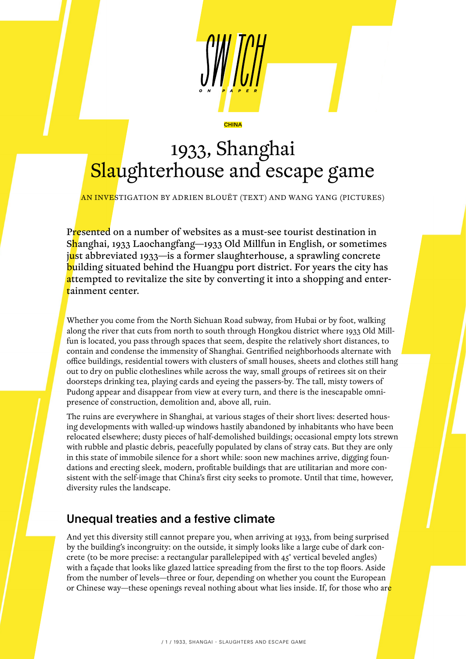# 1933, Shanghai Slaughterhouse and escape game

**CHINA** 

AN INVESTIGATION BY ADRIEN BLOUËT (TEXT) AND WANG YANG (PICTURES)

Presented on a number of websites as a must-see tourist destination in Shanghai, 1933 Laochangfang—1933 Old Millfun in English, or sometimes just abbreviated 1933—is a former slaughterhouse, a sprawling concrete **building situated behind the Huangpu port district. For years the city has** attempted to revitalize the site by converting it into a shopping and entertainment center.

Whether you come from the North Sichuan Road subway, from Hubai or by foot, walking along the river that cuts from north to south through Hongkou district where 1933 Old Millfun is located, you pass through spaces that seem, despite the relatively short distances, to contain and condense the immensity of Shanghai. Gentrified neighborhoods alternate with office buildings, residential towers with clusters of small houses, sheets and clothes still hang out to dry on public clotheslines while across the way, small groups of retirees sit on their doorsteps drinking tea, playing cards and eyeing the passers-by. The tall, misty towers of Pudong appear and disappear from view at every turn, and there is the inescapable omnipresence of construction, demolition and, above all, ruin.

The ruins are everywhere in Shanghai, at various stages of their short lives: deserted housing developments with walled-up windows hastily abandoned by inhabitants who have been relocated elsewhere; dusty pieces of half-demolished buildings; occasional empty lots strewn with rubble and plastic debris, peacefully populated by clans of stray cats. But they are only in this state of immobile silence for a short while: soon new machines arrive, digging foundations and erecting sleek, modern, profitable buildings that are utilitarian and more consistent with the self-image that China's first city seeks to promote. Until that time, however, diversity rules the landscape.

## Unequal treaties and a festive climate

And yet this diversity still cannot prepare you, when arriving at 1933, from being surprised by the building's incongruity: on the outside, it simply looks like a large cube of dark concrete (to be more precise: a rectangular parallelepiped with 45° vertical beveled angles) with a façade that looks like glazed lattice spreading from the first to the top floors. Aside from the number of levels—three or four, depending on whether you count the European or Chinese way—these openings reveal nothing about what lies inside. If, for those who are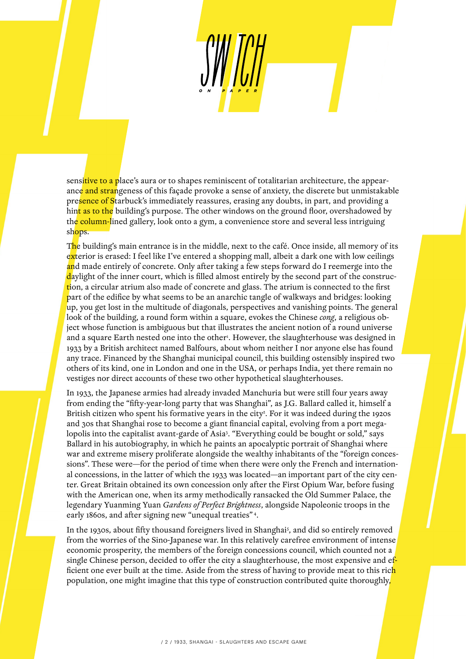sensitive to a place's aura or to shapes reminiscent of totalitarian architecture, the appearance and strangeness of this façade provoke a sense of anxiety, the discrete but unmistakable presence of Starbuck's immediately reassures, erasing any doubts, in part, and providing a hint as to the building's purpose. The other windows on the ground floor, overshadowed by the column-lined gallery, look onto a gym, a convenience store and several less intriguing shops.

The building's main entrance is in the middle, next to the café. Once inside, all memory of its exterior is erased: I feel like I've entered a shopping mall, albeit a dark one with low ceilings and made entirely of concrete. Only after taking a few steps forward do I reemerge into the daylight of the inner court, which is filled almost entirely by the second part of the construction, a circular atrium also made of concrete and glass. The atrium is connected to the first part of the edifice by what seems to be an anarchic tangle of walkways and bridges: looking up, you get lost in the multitude of diagonals, perspectives and vanishing points. The general look of the building, a round form within a square, evokes the Chinese *cong*, a religious object whose function is ambiguous but that illustrates the ancient notion of a round universe and a square Earth nested one into the other<sup>1</sup>. However, the slaughterhouse was designed in 1933 by a British architect named Balfours, about whom neither I nor anyone else has found any trace. Financed by the Shanghai municipal council, this building ostensibly inspired two others of its kind, one in London and one in the USA, or perhaps India, yet there remain no vestiges nor direct accounts of these two other hypothetical slaughterhouses.

In 1933, the Japanese armies had already invaded Manchuria but were still four years away from ending the "fifty-year-long party that was Shanghai", as J.G. Ballard called it, himself a British citizen who spent his formative years in the city<sup>2</sup>. For it was indeed during the 1920s and 30s that Shanghai rose to become a giant financial capital, evolving from a port megalopolis into the capitalist avant-garde of Asia3 . "Everything could be bought or sold," says Ballard in his autobiography, in which he paints an apocalyptic portrait of Shanghai where war and extreme misery proliferate alongside the wealthy inhabitants of the "foreign concessions". These were—for the period of time when there were only the French and international concessions, in the latter of which the 1933 was located—an important part of the city center. Great Britain obtained its own concession only after the First Opium War, before fusing with the American one, when its army methodically ransacked the Old Summer Palace, the legendary Yuanming Yuan *Gardens of Perfect Brightness*, alongside Napoleonic troops in the early 1860s, and after signing new "unequal treaties" 4.

In the 1930s, about fifty thousand foreigners lived in Shanghai<sup>5</sup>, and did so entirely removed from the worries of the Sino-Japanese war. In this relatively carefree environment of intense economic prosperity, the members of the foreign concessions council, which counted not a single Chinese person, decided to offer the city a slaughterhouse, the most expensive and efficient one ever built at the time. Aside from the stress of having to provide meat to this ric<mark>h</mark> population, one might imagine that this type of construction contributed quite thoroughly,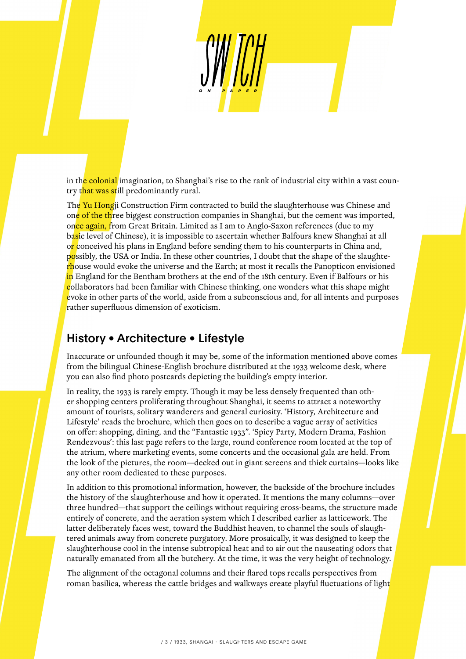in the colonial imagination, to Shanghai's rise to the rank of industrial city within a vast country that was still predominantly rural.

The Yu Hongji Construction Firm contracted to build the slaughterhouse was Chinese and one of the three biggest construction companies in Shanghai, but the cement was imported, once again, from Great Britain. Limited as I am to Anglo-Saxon references (due to my basic level of Chinese), it is impossible to ascertain whether Balfours knew Shanghai at all or conceived his plans in England before sending them to his counterparts in China and, possibly, the USA or India. In these other countries, I doubt that the shape of the slaughterhouse would evoke the universe and the Earth; at most it recalls the Panopticon envisioned in England for the Bentham brothers at the end of the 18th century. Even if Balfours or his collaborators had been familiar with Chinese thinking, one wonders what this shape might evoke in other parts of the world, aside from a subconscious and, for all intents and purposes rather superfluous dimension of exoticism.

### History • Architecture • Lifestyle

Inaccurate or unfounded though it may be, some of the information mentioned above comes from the bilingual Chinese-English brochure distributed at the 1933 welcome desk, where you can also find photo postcards depicting the building's empty interior.

In reality, the 1933 is rarely empty. Though it may be less densely frequented than other shopping centers proliferating throughout Shanghai, it seems to attract a noteworthy amount of tourists, solitary wanderers and general curiosity. 'History, Architecture and Lifestyle' reads the brochure, which then goes on to describe a vague array of activities on offer: shopping, dining, and the "Fantastic 1933". 'Spicy Party, Modern Drama, Fashion Rendezvous': this last page refers to the large, round conference room located at the top of the atrium, where marketing events, some concerts and the occasional gala are held. From the look of the pictures, the room—decked out in giant screens and thick curtains—looks like any other room dedicated to these purposes.

In addition to this promotional information, however, the backside of the brochure includes the history of the slaughterhouse and how it operated. It mentions the many columns—over three hundred—that support the ceilings without requiring cross-beams, the structure made entirely of concrete, and the aeration system which I described earlier as latticework. The latter deliberately faces west, toward the Buddhist heaven, to channel the souls of slaughtered animals away from concrete purgatory. More prosaically, it was designed to keep the slaughterhouse cool in the intense subtropical heat and to air out the nauseating odors that naturally emanated from all the butchery. At the time, it was the very height of technology.

The alignment of the octagonal columns and their flared tops recalls perspectives from roman basilica, whereas the cattle bridges and walkways create playful fluctuations of light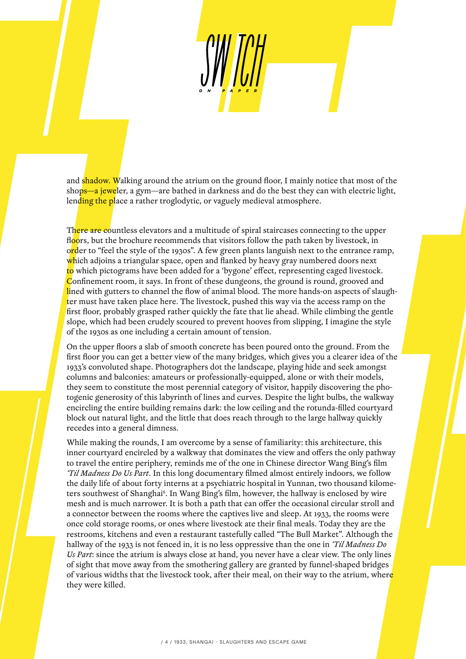and shadow. Walking around the atrium on the ground floor, I mainly notice that most of the shops—a jeweler, a gym—are bathed in darkness and do the best they can with electric light, lending the place a rather troglodytic, or vaguely medieval atmosphere.

There are countless elevators and a multitude of spiral staircases connecting to the upper floors, but the brochure recommends that visitors follow the path taken by livestock, in order to "feel the style of the 1930s". A few green plants languish next to the entrance ramp, which adjoins a triangular space, open and flanked by heavy gray numbered doors next to which pictograms have been added for a 'bygone' effect, representing caged livestock. Confinement room, it says. In front of these dungeons, the ground is round, grooved and lined with gutters to channel the flow of animal blood. The more hands-on aspects of slaughter must have taken place here. The livestock, pushed this way via the access ramp on the first floor, probably grasped rather quickly the fate that lie ahead. While climbing the gentle slope, which had been crudely scoured to prevent hooves from slipping, I imagine the style of the 1930s as one including a certain amount of tension.

On the upper floors a slab of smooth concrete has been poured onto the ground. From the first floor you can get a better view of the many bridges, which gives you a clearer idea of the 1933's convoluted shape. Photographers dot the landscape, playing hide and seek amongst columns and balconies: amateurs or professionally-equipped, alone or with their models, they seem to constitute the most perennial category of visitor, happily discovering the photogenic generosity of this labyrinth of lines and curves. Despite the light bulbs, the walkway encircling the entire building remains dark: the low ceiling and the rotunda-filled courtyard block out natural light, and the little that does reach through to the large hallway quickly recedes into a general dimness.

While making the rounds, I am overcome by a sense of familiarity: this architecture, this inner courtyard encircled by a walkway that dominates the view and offers the only pathway to travel the entire periphery, reminds me of the one in Chinese director Wang Bing's film *'Til Madness Do Us Part*. In this long documentary filmed almost entirely indoors, we follow the daily life of about forty interns at a psychiatric hospital in Yunnan, two thousand kilometers southwest of Shanghai<sup>6</sup>. In Wang Bing's film, however, the hallway is enclosed by wire mesh and is much narrower. It is both a path that can offer the occasional circular stroll and a connector between the rooms where the captives live and sleep. At 1933, the rooms were once cold storage rooms, or ones where livestock ate their final meals. Today they are the restrooms, kitchens and even a restaurant tastefully called "The Bull Market". Although the hallway of the 1933 is not fenced in, it is no less oppressive than the one in *'Til Madness Do Us Part*: since the atrium is always close at hand, you never have a clear view. The only lines of sight that move away from the smothering gallery are granted by funnel-shaped bridges of various widths that the livestock took, after their meal, on their way to the atrium, where they were killed.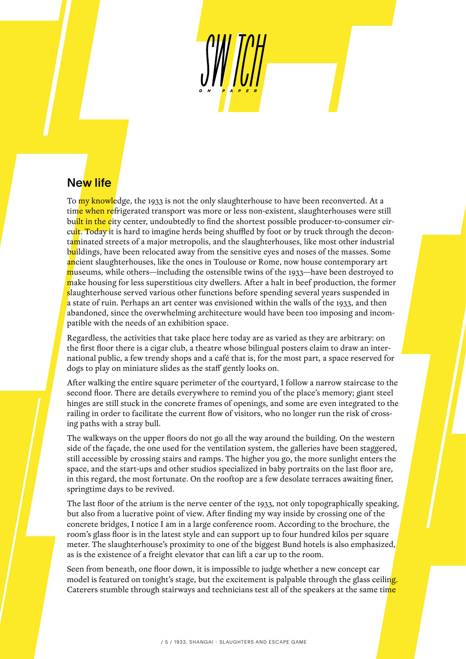# New life

To my knowledge, the 1933 is not the only slaughterhouse to have been reconverted. At a time when refrigerated transport was more or less non-existent, slaughterhouses were still built in the city center, undoubtedly to find the shortest possible producer-to-consumer circuit. Today it is hard to imagine herds being shuffled by foot or by truck through the decontaminated streets of a major metropolis, and the slaughterhouses, like most other industrial buildings, have been relocated away from the sensitive eyes and noses of the masses. Some ancient slaughterhouses, like the ones in Toulouse or Rome, now house contemporary art museums, while others—including the ostensible twins of the 1933—have been destroyed to make housing for less superstitious city dwellers. After a halt in beef production, the former slaughterhouse served various other functions before spending several years suspended in a state of ruin. Perhaps an art center was envisioned within the walls of the 1933, and then abandoned, since the overwhelming architecture would have been too imposing and incompatible with the needs of an exhibition space.

Regardless, the activities that take place here today are as varied as they are arbitrary: on the first floor there is a cigar club, a theatre whose bilingual posters claim to draw an international public, a few trendy shops and a café that is, for the most part, a space reserved for dogs to play on miniature slides as the staff gently looks on.

After walking the entire square perimeter of the courtyard, I follow a narrow staircase to the second floor. There are details everywhere to remind you of the place's memory; giant steel hinges are still stuck in the concrete frames of openings, and some are even integrated to the railing in order to facilitate the current flow of visitors, who no longer run the risk of crossing paths with a stray bull.

The walkways on the upper floors do not go all the way around the building. On the western side of the façade, the one used for the ventilation system, the galleries have been staggered, still accessible by crossing stairs and ramps. The higher you go, the more sunlight enters the space, and the start-ups and other studios specialized in baby portraits on the last floor are, in this regard, the most fortunate. On the rooftop are a few desolate terraces awaiting finer, springtime days to be revived.

The last floor of the atrium is the nerve center of the 1933, not only topographically speaking, but also from a lucrative point of view. After finding my way inside by crossing one of the concrete bridges, I notice I am in a large conference room. According to the brochure, the room's glass floor is in the latest style and can support up to four hundred kilos per square meter. The slaughterhouse's proximity to one of the biggest Bund hotels is also emphasized, as is the existence of a freight elevator that can lift a car up to the room.

Seen from beneath, one floor down, it is impossible to judge whether a new concept car model is featured on tonight's stage, but the excitement is palpable through the glass ceiling. Caterers stumble through stairways and technicians test all of the speakers at the same time